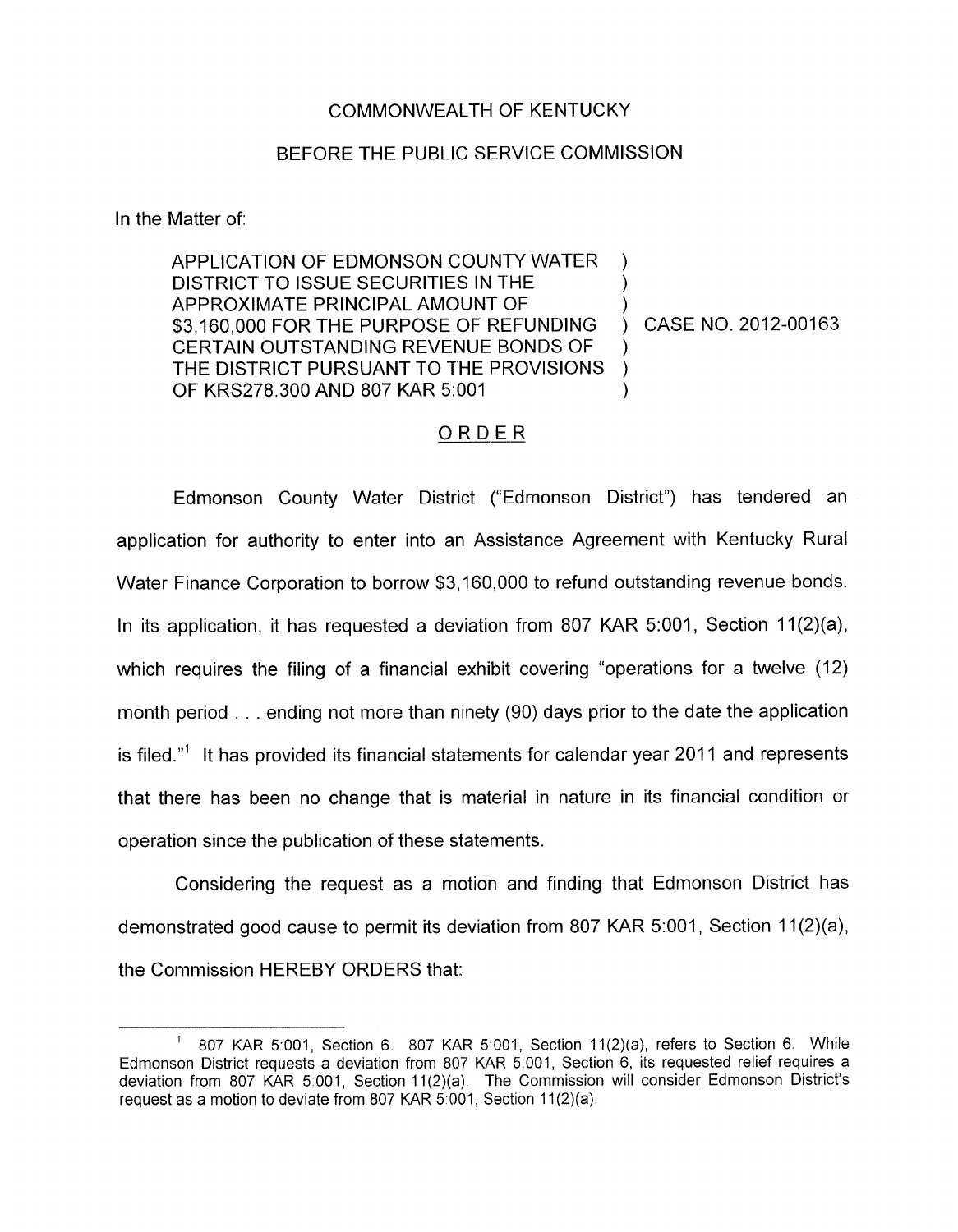## COMMONWEALTH OF KENTUCKY

## BEFORE THE PUBLIC SERVICE COMMISSION

In the Matter of:

APPLICATION OF EDMONSON COUNTY WATER DISTRICT TO ISSUE SECURITIES IN THE APPROXIMATE PRINCIPAL AMOUNT OF \$3,160,000 FOR THE PURPOSE OF REFUNDING ) CASE NO. 2012-00163 CERTAIN OUTSTANDING REVENUE BONDS OF THE DISTRICT PURSUANT TO THE PROVISIONS ) OF KRS278.300 AND 807 KAR 5:001

## ORDER

Edmonson County Water District ("Edmonson District") has tendered an application for authority to enter into an Assistance Agreement with Kentucky Rural Water Finance Corporation to borrow \$3,160,000 to refund outstanding revenue bonds. In its application, it has requested a deviation from 807 KAR 5:001, Section 11(2)(a), which requires the filing of a financial exhibit covering "operations for a twelve (12) month period . . . ending not more than ninety (90) days prior to the date the application is filed."<sup>1</sup> It has provided its financial statements for calendar year 2011 and represents that there has been no change that is material in nature in its financial condition or operation since the publication of these statements.

Considering the request as a motion and finding that Edmonson District has demonstrated good cause to permit its deviation from 807 KAR 5:001, Section 11(2)(a), the Commission HEREBY ORDERS that:

<sup>&</sup>lt;sup>1</sup> 807 KAR 5:001, Section 6. 807 KAR 5:001, Section 11(2)(a), refers to Section 6. While Edmonson District requests a deviation from 807 KAR 5 001, Section 6, its requested relief requires a deviation from 807 KAR 5 001, Section 11(2)(a) The Commission will consider Edmonson District's request as a motion to deviate from 807 KAR 5:001, Section 11(2)(a).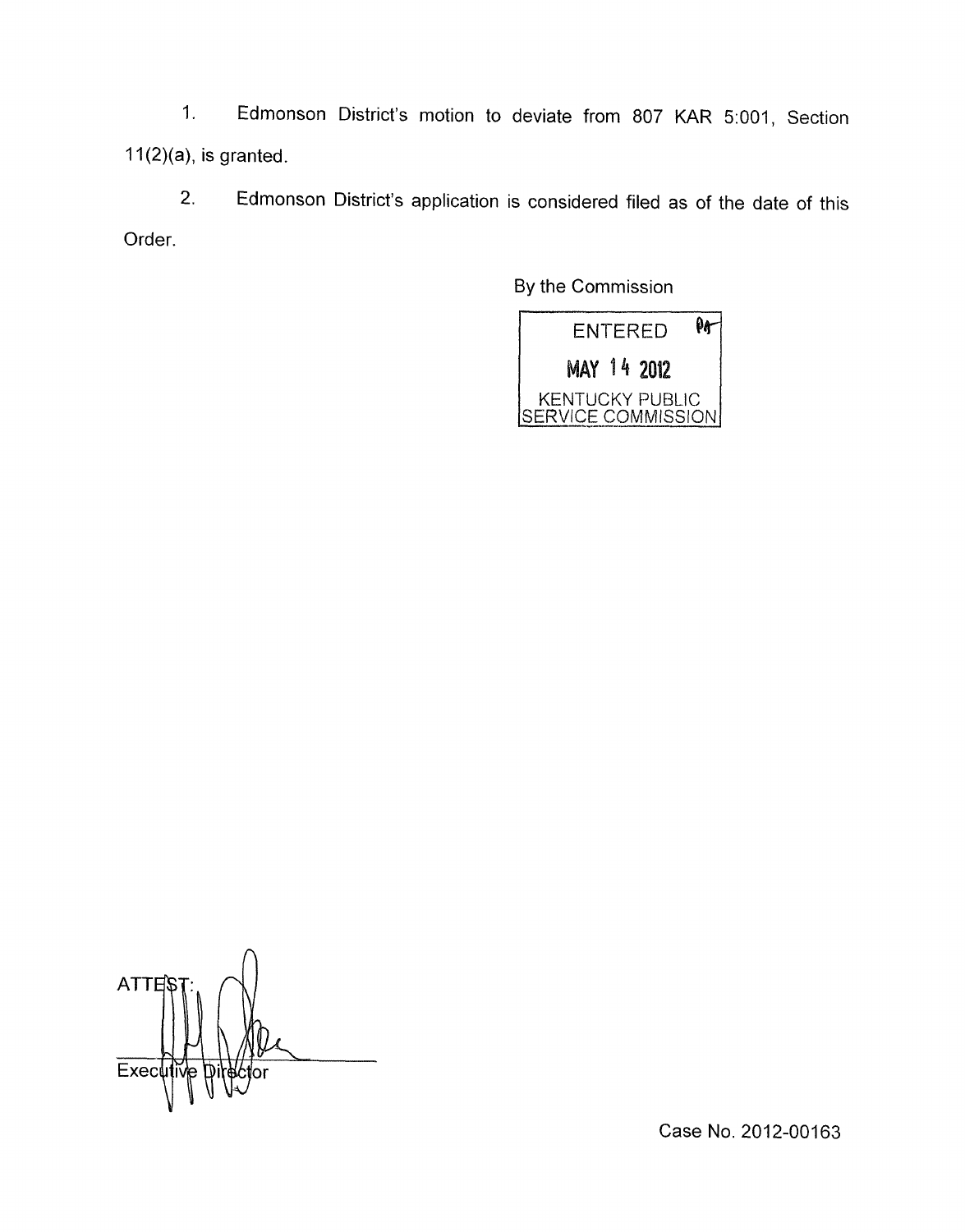1. Edmonson District's motion to deviate from 807 KAR 5:001, Section  $11(2)(a)$ , is granted.

2. Edmonson District's application is considered filed as of the date of this Order.

By the Commission



**ATTE** Exec

Case **No.** 2012-00163